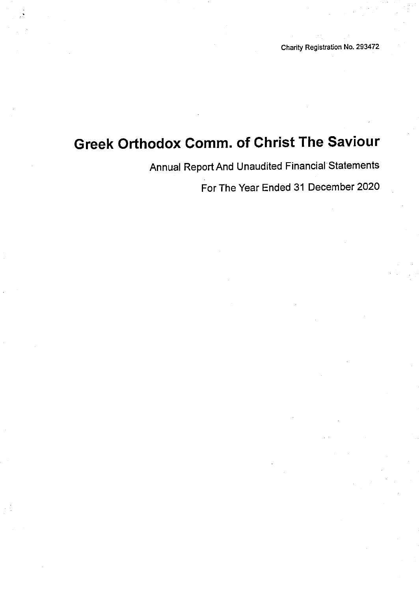Annual Report And Unaudited Financial Statements

For The Year Ended 31 December 2020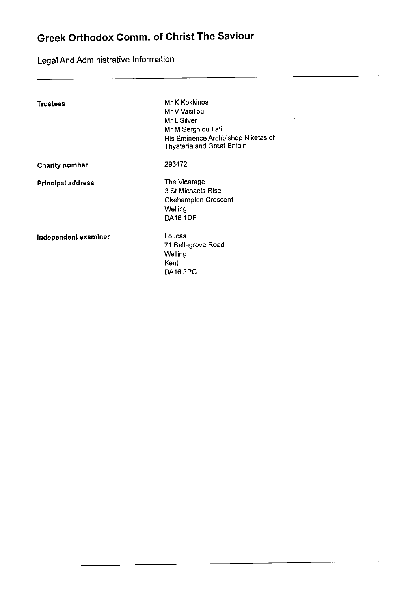Legal And Administrative Information

| Trustees             | Mr K Kokkinos<br>Mr V Vasiliou<br>Mr L Silver<br>Mr M Serghiou Lati<br>His Eminence Archbishop Niketas of<br>Thyateria and Great Britain |
|----------------------|------------------------------------------------------------------------------------------------------------------------------------------|
| Charity number       | 293472                                                                                                                                   |
| Principal address    | The Vicarage<br>3 St Michaels Rise<br>Okehampton Crescent<br>Welling<br><b>DA16 1DF</b>                                                  |
| Independent examiner | Loucas<br>71 Bellegrove Road<br>Welling<br>Kent<br><b>DA16 3PG</b>                                                                       |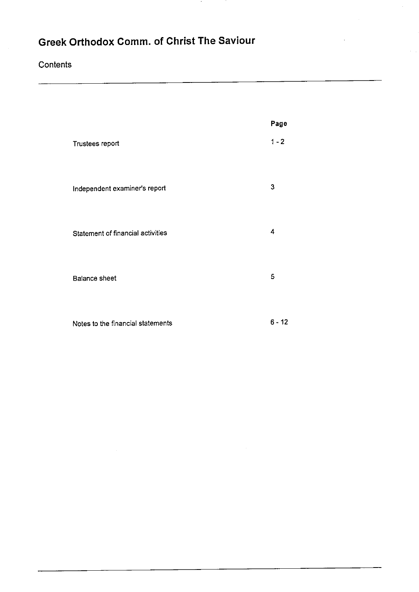<u> 1989 - John Stone, amerikansk politiker (</u>

### **Contents**

|                                   | Page     |
|-----------------------------------|----------|
| Trustees report                   | $1 - 2$  |
| Independent examiner's report     | 3        |
| Statement of financial activities | 4        |
| <b>Balance sheet</b>              | 5        |
| Notes to the financial statements | $6 - 12$ |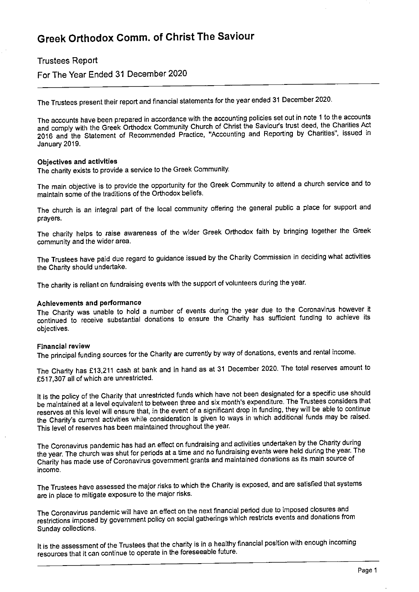#### Trustees Report

For The Year Ended 31 December 2020

The Trustees present their report and financial statements for the year ended <sup>31</sup> December 2020.

The accounts have been prepared in accordance with the accounting policies set out in note <sup>1</sup> to the accounts and comply with the Greek Orthodox Community Church of Christ the Saviour's trust deed, the Charities Act 2016 and the Statement of Recommended Practice, "Accounting and Reporting by Charities", issued in January 2019.

#### Objectives and activities

The charity exists to provide a service to the Greek Community.

The main objective is to provide the opportunity for the Greek Community to attend a church service and to maintain some of the traditions of the Orthodox beliefs.

The church is an integral part of the local community offering the general public a place for support and prayers.

The charity helps to raise awareness of the wider Greek Orthodox faith by bringing together the Greek community and the wider area.

The Trustees have paid due regard to guidance issued by the Charity Commission in deciding what activities the Charity should undertake.

The charity is reliant on fundraising events with the support of volunteers during the year.

#### Achievements and performance

The Charity was unable to hold a number of events during the year due to the Coronavirus however it continued to receive substantial donations to ensure the Charity has sufficient funding to achieve its objectives.

#### Financial review

The principal funding sources for the Charity are currently by way of donations, events and rental income.

The Charity has £13,211 cash at bank and in hand as at 31 December 2020. The total reserves amount to F517,307 all of which are unrestricted.

It is the policy of the Charity that unrestricted funds which have not been designated for a specific use should be maintained at <sup>a</sup> level equivalent to between three and six month's expenditure. The Trustees considers that reserves at this level will ensure that, in the event of <sup>a</sup> significant drop in funding, they will be able to continue the Charity's current activities while consideration is given to ways in which additional funds may be raised. This level of reserves has been maintained throughout the year.

The Coronavirus pandemic has had an effect on fundraising and activities undertaken by the Charity during the year. The church was shut for periods at <sup>a</sup> time and no fundraising events were held during the year. The Charity has made use of Coronavirus government grants and maintained donations as its main source of income.

The Trustees have assessed the major risks to which the Charity is exposed, and are satisfied that systems are in place to mitigate exposure to the major risks.

The Coronavirus pandemic will have an effect on the next financial period due to imposed closures and restrictions imposed by government policy on social gatherings which restricts events and donations from Sunday collections.

It is the assessment of the Trustees that the charity is in a healthy financial position with enough incoming resources that it can continue to operate in the foreseeable future.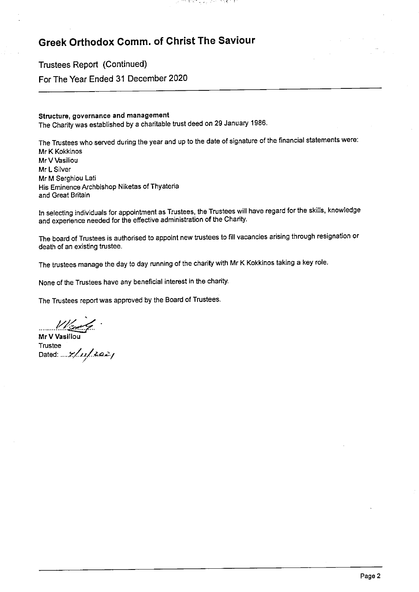Trustees Report (Continued) For The Year Ended 31 December 2020

#### Structure, governance and management

The Charity was established by a charitable trust deed on 29 January 1986.

The Trustees who served during the year and up to the date of signature of the financial statements were: Mr K Kokkinos Mr V Vasiliou Mr L Silver Mr M Serghiou Lati His Eminence Archbishop Niketas of Thyateria and Great Britain

기가 회의하고 있는 과학이 한정했다.

In selecting individuals for appointment as Trustees, the Trustees will have regard for the skills, knowledge and experience needed for the effective administration of the Charity.

The board of Trustees is authorised to appoint new trustees to fill vacancies arising through resignation or death of an existing trustee.

The trustees manage the day to day running of the charity with Mr <sup>K</sup> Kokkinos taking a key role.

None of the Trustees have any beneficial interest in the charity.

The Trustees report was approved by the Board of Trustees.

Mr V Vasilio**u** Trustee Dated: .... 7/xx/2a2 j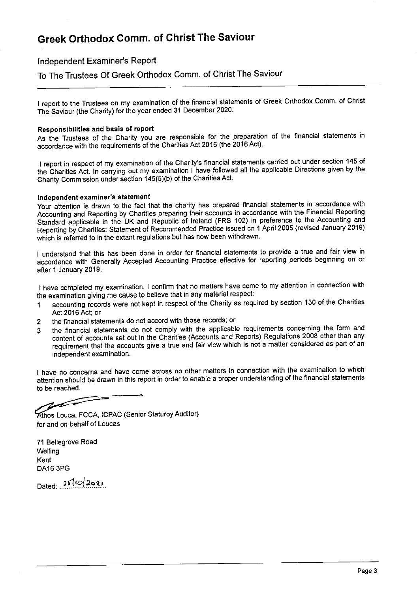Independent Examiner's Report

To The Trustees Of Greek Orthodox Comm. of Christ The Saviour

<sup>I</sup> report to the Trustees on my examination of the financial statements of Greek Orthodox Comm. of Christ The Saviour (the Charity) for the year ended 31 December 2020.

#### Responsibilities and basis of report

As the Trustees of the Charity you are responsible for the preparation of the financial statements in accordance with the requirements of the Charities Act 2016 (the 2016 Act).

<sup>I</sup> report in respect of my examination of the Charity's financial statements carried out under section 145 of the Charities Act. In canying out my examination <sup>I</sup> have followed all the applicable Directions given by the Charity Commission under section 145(5)(b) of the Charities Act.

#### Independent examiner's statement

Your attention is drawn to the fact that the charity has prepared financial statements in accordance with Accounting and Reporting by Charities preparing their accounts in accordance with the Financial Reporting Standard applicable in the UK and Republic of Ireland (FRS 102) in preference to the Accounting and Reporting by Charities: Statement of Recommended Practice issued cn <sup>1</sup> April 2005 (revised January 2019) which is referred to in the extant regulations but has now been withdrawn.

<sup>I</sup> understand that this has been done in order for financial statements to provide a true and fair view in accordance with Generally Accepted Accounting Practice effective for reporting periods beginning on or after <sup>1</sup> January 2019.

<sup>I</sup> have completed my examination. <sup>I</sup> confirm that no matters have come to my attention in connection with the examination giving me cause to believe that in any material respect:

- <sup>1</sup> accounting records were not kept in respect of the Charity as required by section 130 of the Charities Act 2016 Act; or
- 2 the financial statements do not accord with those records; or
- 3 the financial statements do not comply with the applicable requirements concerning the form and content of accounts set out in the Charities (Accounts and Reports) Regulations 2008 ether than any requirement that the accounts give a true and fair view which is not <sup>a</sup> matter considered as part of an independent examination.

I have no concerns and have come across no other matters in connection with the examination to which attention should be drawn in this report in order to enable a proper understanding of the financial statements to be reached.

 $\sim$ 

thos Louca, FCGA, ICPAC (Senior Staturoy Auditor) for and on behalf of Loucas

71 Bellegrove Road **Welling** Kent DA16 3PG

 $Dated: 2510/2021$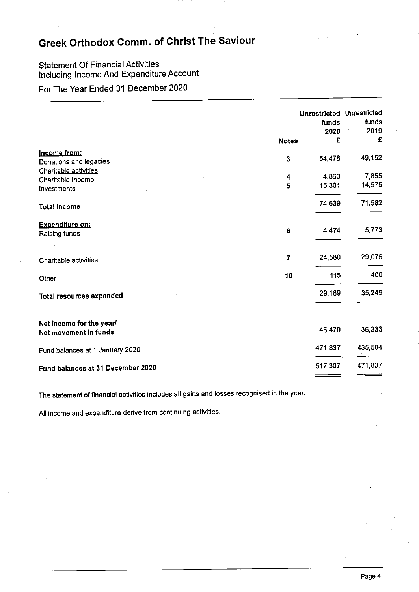### Statement Of Financial Activities Including Income And Expenditure Account

### For The Year Ended 31 December 2020

|                                                   | <b>Notes</b> | Unrestricted Unrestricted<br>funds<br>2020<br>£ | funds<br>2019<br>£ |
|---------------------------------------------------|--------------|-------------------------------------------------|--------------------|
| Income from:                                      | 3            | 54,478                                          | 49,152             |
| Donations and legacies                            |              |                                                 |                    |
| Charitable activities<br>Charitable Income        | 4            | 4,860                                           | 7,855              |
| Investments                                       | 5            | 15,301                                          | 14,575             |
| Total income                                      |              | 74,639                                          | 71,582             |
| <b>Expenditure on:</b>                            | 6            | 4,474                                           | 5,773              |
| Raising funds                                     |              |                                                 |                    |
| Charitable activities                             | 7            | 24,580                                          | 29,076             |
| Other                                             | 10           | 115                                             | 400                |
| Total resources expended                          |              | 29,169                                          | 35,249             |
| Net income for the year/<br>Net movement in funds |              | 45,470                                          | 36,333             |
| Fund balances at 1 January 2020                   |              | 471,837                                         | 435,504            |
| Fund balances at 31 December 2020                 |              | 517,307                                         | 471,837            |
|                                                   |              |                                                 |                    |

The statement of financial activities indudes all gains and losses recognised in the year.

All income and expenditure derive from continuing activities.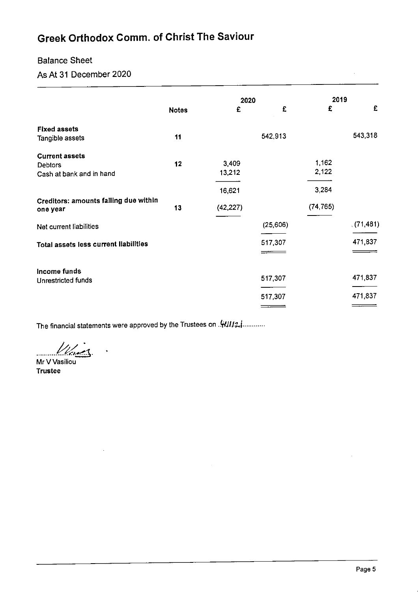#### Balance Sheet

As At 31 December 2020

|                                       |              | 2020      |          | 2019      |           |
|---------------------------------------|--------------|-----------|----------|-----------|-----------|
|                                       | <b>Notes</b> | £         | £        | £         | £         |
| <b>Fixed assets</b>                   |              |           |          |           |           |
| Tangible assets                       | 11           |           | 542,913  |           | 543,318   |
| <b>Current assets</b>                 |              |           |          |           |           |
| <b>Debtors</b>                        | 12           | 3,409     |          | 1.162     |           |
| Cash at bank and in hand              |              | 13,212    |          | 2,122     |           |
|                                       |              | 16,621    |          | 3 2 8 4   |           |
| Creditors: amounts falling due within | 13           | (42, 227) |          | (74, 765) |           |
| one year                              |              |           |          |           |           |
| Net current liabilities               |              |           | (25,606) |           | (71, 481) |
|                                       |              |           | 517,307  |           | 471,837   |
| Total assets less current liabilities |              |           |          |           |           |
| Income funds                          |              |           |          |           |           |
| Unrestricted funds                    |              |           | 517,307  |           | 471,837   |
|                                       |              |           |          |           |           |
|                                       |              |           | 517,307  |           | 471,837   |
|                                       |              |           |          |           |           |

The financial statements were approved by the Trustees on . 41117.

U les

Mr V Vasiliou Trustee

 $\ddot{\phantom{0}}$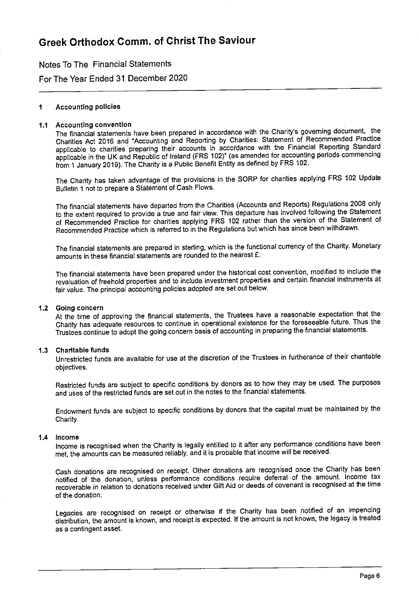Notes To The Financial Statements

For The Year Ended 31 December 2020

#### Accounting policies 1

#### Accounting convention

The financial statements have been prepared in accordance with the Charity's governing document, the Charities Act 2016 and "Accounting and Reporting by Charities: Statement of Recommended Practice applicable to charities preparing their accounts in acccrdance with the Financial Reporting Standard applicable in the UK and Republic of Ireland (FRS 102)' (as amended for accounting periods commencing from 1 January 2019). The Charity is a Public Benefit Entity as defined by FRS 102.

The Charity has taken advantage of the provisicns in the SORP for charities applying FRS 102 Update Bulletin <sup>1</sup> not to prepare a Statement of Cash Flows.

The financial statements have departed from the Charities (Accounts and Reports) Regulations 2008 only to the extent required to provide a true and fair view. This departure has involved following the Statement of Recommended Practice for charities applying FRS 102 rather than the version of the Statement of Recommended Practice which is referred to in the Regulations but which has since been withdrawn.

The financial statements are prepared in sterling, which is the functional currency of the Charity. Monetary amounts in these financial statements are rounded to the nearest £.

The financial statements have been prepared under the historical cost convention, modified to include the revaluation of freehold properties and to include investment properties and certain financial instruments at fair value. The principal accounting policies adopted are set out below.

#### 1.2 Going concern

At the time of approving the financial statements, the Trustees have a reasonable expectation that the Charity has adequate resources to continue in operational existence for the foreseeable future. Thus the Trustees continue to adopt the going concern basis of accounting in preparing the financial statements.

#### 1.3 Charitable funds

Unrestricted funds are available for use at the discretion of the Trustees in furtherance of their charitable objectives.

Restricted funds are subject to specific conditions by donors as to how they may be used. The purposes and uses of the restricted funds are set out in the notes to the financial statements.

Endowment funds are subject to specific conditions by donors that the capital must be maintained by the Charity.

#### 1.4 Income

Income is recognised when the Charity is legally entitled to it after any performance conditions have been met, the amounts can be measured reliably, and it is probable that income will be received.

Cash donations are recognised on receipt. Other donations are recognised once the Charity has been notified of the donation, unless performance conditions require deferral of the amount. Income tax recoverable in relation to donations received under Gift Aid or deeds of covenant is recognised at the time of the donation.

Legacies are recognised on receipt or otherwise if the Charity has been notified of an impending distribution, the amount is known, and receipt is expected. If the amount is not known, the legacy is treated as a contingent asset.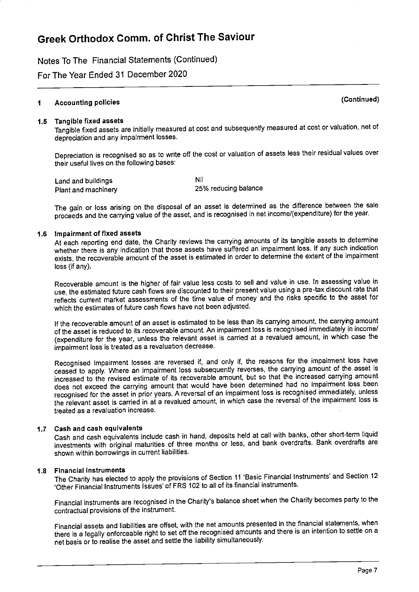Notes To The Financial Statements (Continued)

For The Year Ended 31 December 2020

#### Accounting policies (Continued)  $\overline{\mathbf{1}}$

#### 1.5 Tangible fixed assets

Tangible fixed assets are initially measured at cost and subsequently measured at cost or valuation, net of depreciation and any impairment losses.

Depreciation is recognised so as to write off the cost or valuation of assets less their residual values over their useful lives on the following bases:

Land and buildings Plant and machinery Nil 25% reducing balance

The gain or loss arising on the disposal of an asset is determined as the difference between the sale proceeds and the canying value of the asset, and is recognised in net income/(expenditure) for the year.

#### 1.6 Impairment of fixed assets

At each reporting end date, the Charity reviews the carrying amounts of its tangible assets to determine whether there is any indication that those assets have suffered an impairment loss. If any such indication exists, the recoverable amount of the asset is estimated in order to determine the extent of the impairment loss (if any).

Recoverable amount is the higher of fair value less costs to sell and value in use. In assessing value in use, the estimated future cash flows are discounted to their present value using a pre-tax discount rate that reflects current market assessments of the time value of money and the risks specific to the asset for which the estimates of future cash flows have not been adjusted.

If the recoverable amount of an asset is estimated to be less than its carrying amount, the carryhg amount of the asset is reduced to its recoverable amount. An impairment loss is recognised immediately in income/ (expenditure for the year, unless the relevant asset is carried at <sup>a</sup> revalued amount, in which case the impairment loss is treated as a revaluation decrease.

Recognised impairment losses are reversed if, and only if, the reasons for the impairment loss have ceased to apply. Where an impairment loss subsequently reverses, the carrying amount of the asset is increased to the revised estimate of its recoverable amount, but so that the increased carrying amount does not exceed the carrying amount that would have been determined had no impairment loss been recognised for the asset in prior years. <sup>A</sup> reversal of an impairment loss is recognised immediately, unless the relevant asset is carried in at a revalued amount, in which case the reversal of the impairment loss is treated as a revaluation increase.

#### 1.7 Cash and cash equivalents

Cash and cash equivalents include cash in hand, deposits held at call with banks, other short-term liquid investments with original maturities of three months or less, and bank overdrafts. Bank overdrafts are shown within borrowings in current liabilities.

#### 1.8 Financial instruments

The Charity has elected to apply the provisions of Section <sup>11</sup> 'Basic Financial Instruments' and Section <sup>12</sup> 'Other Financial Instruments Issues' of FRS 102 to all of its financial instruments.

Financial instruments are recognised in the Charity's balance sheet when the Charity becomes party to the contractual provisions of the instrument.

Financial assets and liabilities are offset, with the net amounts presented in the financial statements, when there is <sup>a</sup> legally enforceable right to set off the recognised amounts and there is an intention to settle on <sup>a</sup> net basis or to realise the asset and settle the liability simultaneously.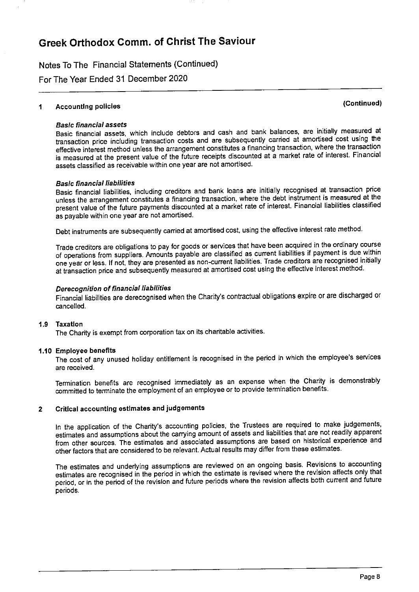Notes To The Financial Statements (Continued)

For The Year Ended 31 December 2020

### <sup>1</sup> Accounting policies (Continued)

#### Basic Binanciai assets

Basic financial assets, which include debtors and cash and bank balances, are initially measured at transaction price including transaction costs and are subsequently carried at amortised cost using the effective interest method unless the arrangement constitutes a financing transaction, where the transaction is measured at the present value of the future receipts discounted at a market rate of interest. Financial assets classified as receivable within one year are not amortised.

#### **Basic financial liabilities**

Basic financial liabilities, including creditors and bank loans are initially recognised at transaction price unless the arrangement constitutes a financing transaction, where the debt instrument is measured at the present value of the future payments discounted at a market rate of interest. Finanoial liabilities classified as payable within one year are not amortised.

Debt instruments are subsequently carried at amortised cost, using the effective interest rate method.

Trade creditors are obligations to pay for goods or services that have been acquired in the ordinary course of operations from suppliers. Amounts payable are classified as current liabilities if payment is due within one year or less. If not, they are presented as non-current liabilities. Trade creditors are recognised initially at transaction price and subsequently measured at amortised cost using the effective interest method.

#### Derecognition of financial liabilities

Financial liabilities are derecognised when the Charity's contractual obligations expire or are discharged or cancelled.

#### 1.9 Taxatlon

The Charity is exempt from corporation tax on its charitable activities.

#### 1.10 Employee benefits

The cost of any unused holiday entitlement is recognised in the period in which the employee's services are received.

Termination benefits are recognised immediately as an expense when the Charity is demonstrably committed to terminate the employment of an employee or to provide termination benefits.

#### 2 Critical accounting estimates and judgements

In the application of the Charity's accounting policies, the Trustees are required to make judgements, estimates and assumptions about the carrying amount of assets and liabilities that are not readily apparent from other sources. The estimates and associated assumptions are based on historical experience and other factors that are considered to be relevant. Actual results may differ from these estimates.

The estimates and underlying assumptions are reviewed on an ongoing basis. Revisions to accounting estimates are recognised in the period in which the estimate is revised where the revision affects only that period, or in the period of the revision and future periods where the revision affects both current and future penods.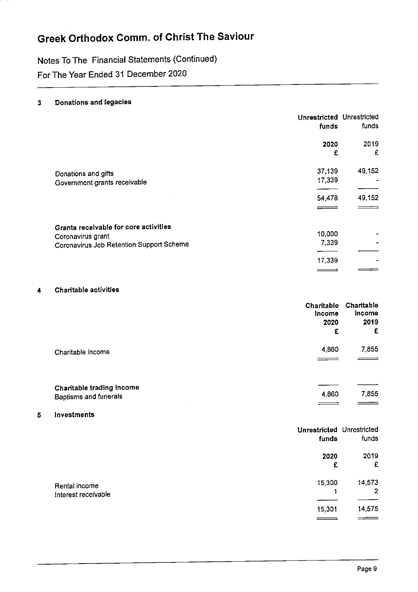Notes To The Financial Statements (Continued)

For The Year Ended 31 December 2020

#### 3 Donations and legacies

|                                                                                                        | Unrestricted Unrestricted<br>funds | funds            |
|--------------------------------------------------------------------------------------------------------|------------------------------------|------------------|
|                                                                                                        | 2020<br>£                          | 2019<br>£        |
| Donations and gifts<br>Government grants receivable                                                    | 37,139<br>17,339<br>54,478         | 49 152<br>49,152 |
| Grants receivable for core activities<br>Coronavirus grant<br>Coronavirus Job Retention Support Scheme | 10,000<br>7,339<br>17,339          |                  |

#### 4 Charitable activities

|                                                    | Charitable<br>Income<br>2020<br>£ | Charitable<br><b>Income</b><br>2019<br>£ |
|----------------------------------------------------|-----------------------------------|------------------------------------------|
| Charitable income                                  | 4,860                             | 7.855                                    |
| Charitable trading income<br>Baptisms and funerals | 4,860                             | 7,855                                    |

#### 5 Investments

|                     | <b>Unrestricted Unrestricted</b><br>funds | funds          |
|---------------------|-------------------------------------------|----------------|
|                     | 2020                                      | 2019           |
|                     | £                                         | £              |
| Rental income       | 15,300                                    | 14 573         |
| Interest receivable | 4                                         | $\overline{2}$ |
|                     |                                           |                |
|                     | 15,301                                    | 14,575         |
|                     |                                           |                |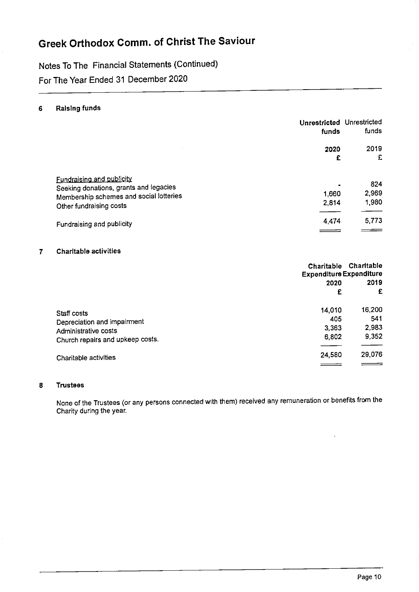Notes To The Financial Statements (Continued)

For The Year Ended 31 December 2020

#### 6 Raising funds

| Unrestricted Unrestricted<br>funds | funds |
|------------------------------------|-------|
| 2020                               | 2019  |
| £                                  | £     |
|                                    | 824   |
| 1.660                              | 2,969 |
| 2,814                              | 1,980 |
| 4.474                              | 5,773 |
|                                    |       |

#### 7 Charitable activities

|                                  | <b>Expenditure Expenditure</b> | Charitable Charitable |
|----------------------------------|--------------------------------|-----------------------|
|                                  | 2020                           | 2019                  |
|                                  | £                              | £                     |
| Staff costs                      | 14,010                         | 16,200                |
| Depreciation and impairment      | 405                            | 541                   |
| Administrative costs             | 3,363                          | 2,983                 |
| Church repairs and upkeep costs. | 6,802                          | 9,352                 |
| Charitable activities            | 24,580                         | 29,076                |
|                                  |                                |                       |

#### 8 Trustees

None of the Trustees (or any persons connected with them) received any remuneration or benefits from the Charity during the year.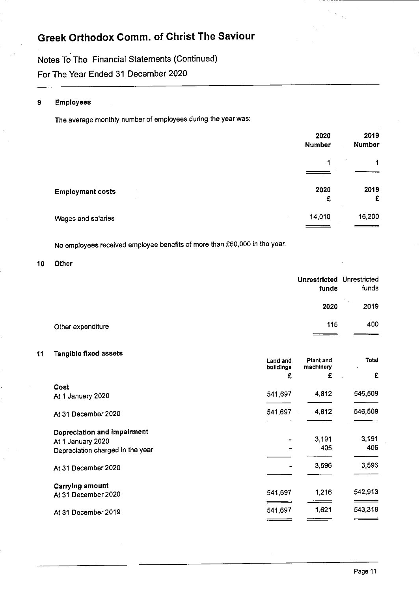Notes To The Financiai Statements (Continued) For The Year Ended 31 December 2020

#### 9 Employees

The average monthly number of employees during the year was:

|                         | 2020<br><b>Number</b> | 2019<br><b>Number</b> |
|-------------------------|-----------------------|-----------------------|
|                         | 1                     | $\mathbf 1$           |
| <b>Employment costs</b> | 2020<br>£             | 2019<br>£             |
| Wages and salaries      | 14,010                | 16,200                |

No employees received employee benefits of more than 560,000 in the year.

10 Other

|    |                                  |           | <b>Unrestricted Unrestricted</b><br>funds | funds        |
|----|----------------------------------|-----------|-------------------------------------------|--------------|
|    |                                  |           | 2020                                      | 2019         |
|    | Other expenditure                |           | 115                                       | 400          |
| 11 | Tangible fixed assets            | Land and  | Plant and                                 | <b>Total</b> |
|    |                                  | buildings | machinery                                 |              |
|    |                                  | £         | £                                         | £            |
|    | Cost                             |           |                                           |              |
|    | At 1 January 2020                | 541,697   | 4,812                                     | 546,509      |
|    | At 31 December 2020              | 541,697   | 4,812                                     | 546,509      |
|    | Depreciation and impairment      |           |                                           |              |
|    | At 1 January 2020                |           | 3,191                                     | 3,191        |
|    | Depreciation charged in the year |           | 405                                       | 405          |
|    | At 31 December 2020              |           | 3,596                                     | 3,596        |
|    | Carrying amount                  |           |                                           |              |
|    | At 31 December 2020              | 541,697   | 1,216                                     | 542,913      |
|    | At 31 December 2019              | 541,697   | 1,621                                     | 543,318      |
|    |                                  |           |                                           |              |